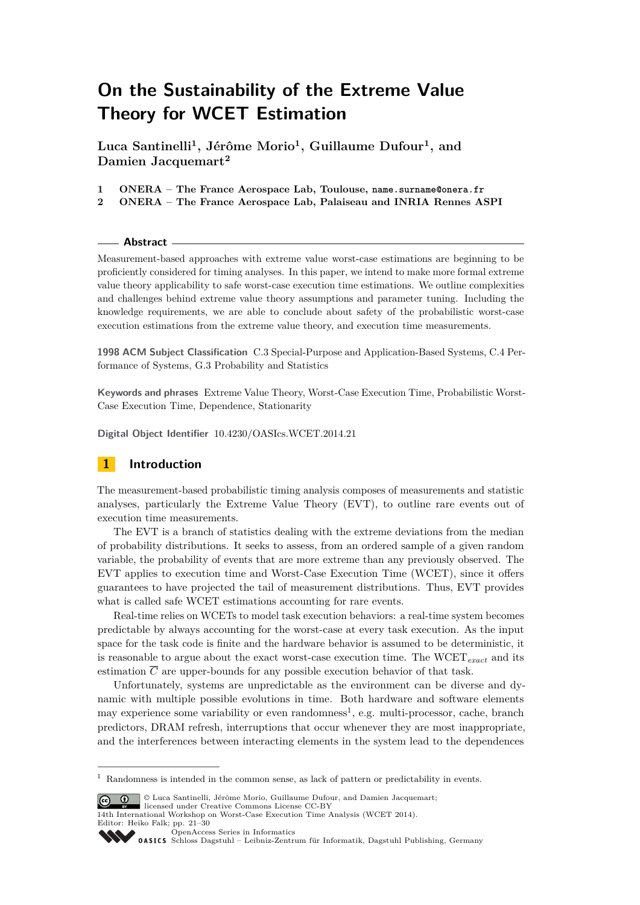# **On the Sustainability of the Extreme Value Theory for WCET Estimation**

**Luca Santinelli<sup>1</sup> , Jérôme Morio<sup>1</sup> , Guillaume Dufour<sup>1</sup> , and Damien Jacquemart<sup>2</sup>**

- **1 ONERA The France Aerospace Lab, Toulouse, name.surname@onera.fr**
- **2 ONERA The France Aerospace Lab, Palaiseau and INRIA Rennes ASPI**

### **Abstract**

Measurement-based approaches with extreme value worst-case estimations are beginning to be proficiently considered for timing analyses. In this paper, we intend to make more formal extreme value theory applicability to safe worst-case execution time estimations. We outline complexities and challenges behind extreme value theory assumptions and parameter tuning. Including the knowledge requirements, we are able to conclude about safety of the probabilistic worst-case execution estimations from the extreme value theory, and execution time measurements.

**1998 ACM Subject Classification** C.3 Special-Purpose and Application-Based Systems, C.4 Performance of Systems, G.3 Probability and Statistics

**Keywords and phrases** Extreme Value Theory, Worst-Case Execution Time, Probabilistic Worst-Case Execution Time, Dependence, Stationarity

**Digital Object Identifier** [10.4230/OASIcs.WCET.2014.21](http://dx.doi.org/10.4230/OASIcs.WCET.2014.21)

# **1 Introduction**

The measurement-based probabilistic timing analysis composes of measurements and statistic analyses, particularly the Extreme Value Theory (EVT), to outline rare events out of execution time measurements.

The EVT is a branch of statistics dealing with the extreme deviations from the median of probability distributions. It seeks to assess, from an ordered sample of a given random variable, the probability of events that are more extreme than any previously observed. The EVT applies to execution time and Worst-Case Execution Time (WCET), since it offers guarantees to have projected the tail of measurement distributions. Thus, EVT provides what is called safe WCET estimations accounting for rare events.

Real-time relies on WCETs to model task execution behaviors: a real-time system becomes predictable by always accounting for the worst-case at every task execution. As the input space for the task code is finite and the hardware behavior is assumed to be deterministic, it is reasonable to argue about the exact worst-case execution time. The WCET*exact* and its estimation  $\overline{C}$  are upper-bounds for any possible execution behavior of that task.

Unfortunately, systems are unpredictable as the environment can be diverse and dynamic with multiple possible evolutions in time. Both hardware and software elements may experience some variability or even randomness<sup>[1](#page-0-0)</sup>, e.g. multi-processor, cache, branch predictors, DRAM refresh, interruptions that occur whenever they are most inappropriate, and the interferences between interacting elements in the system lead to the dependences

licensed under Creative Commons License CC-BY 14th International Workshop on Worst-Case Execution Time Analysis (WCET 2014). Editor: Heiko Falk; pp. 21[–30](#page-9-0)

[OpenAccess Series in Informatics](http://www.dagstuhl.de/oasics/)

<span id="page-0-0"></span><sup>1</sup> Randomness is intended in the common sense, as lack of pattern or predictability in events.

<sup>©</sup> Luca Santinelli, Jérôme Morio, Guillaume Dufour, and Damien Jacquemart;

[Schloss Dagstuhl – Leibniz-Zentrum für Informatik, Dagstuhl Publishing, Germany](http://www.dagstuhl.de/)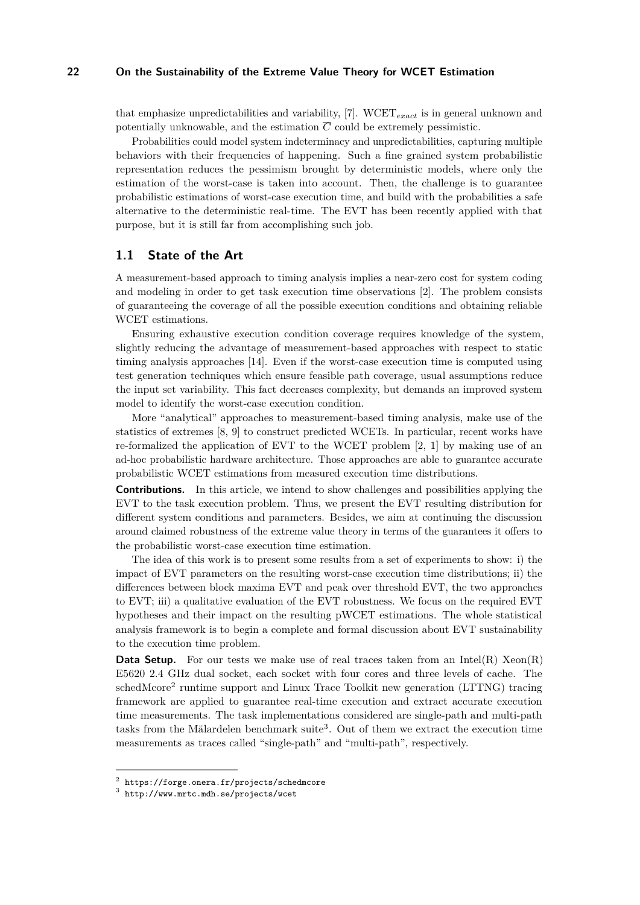## **22 On the Sustainability of the Extreme Value Theory for WCET Estimation**

that emphasize unpredictabilities and variability, [\[7\]](#page-9-1). WCET*exact* is in general unknown and potentially unknowable, and the estimation  $\overline{C}$  could be extremely pessimistic.

Probabilities could model system indeterminacy and unpredictabilities, capturing multiple behaviors with their frequencies of happening. Such a fine grained system probabilistic representation reduces the pessimism brought by deterministic models, where only the estimation of the worst-case is taken into account. Then, the challenge is to guarantee probabilistic estimations of worst-case execution time, and build with the probabilities a safe alternative to the deterministic real-time. The EVT has been recently applied with that purpose, but it is still far from accomplishing such job.

## **1.1 State of the Art**

A measurement-based approach to timing analysis implies a near-zero cost for system coding and modeling in order to get task execution time observations [\[2\]](#page-9-2). The problem consists of guaranteeing the coverage of all the possible execution conditions and obtaining reliable WCET estimations.

Ensuring exhaustive execution condition coverage requires knowledge of the system, slightly reducing the advantage of measurement-based approaches with respect to static timing analysis approaches [\[14\]](#page-9-3). Even if the worst-case execution time is computed using test generation techniques which ensure feasible path coverage, usual assumptions reduce the input set variability. This fact decreases complexity, but demands an improved system model to identify the worst-case execution condition.

More "analytical" approaches to measurement-based timing analysis, make use of the statistics of extremes [\[8,](#page-9-4) [9\]](#page-9-5) to construct predicted WCETs. In particular, recent works have re-formalized the application of EVT to the WCET problem  $[2, 1]$  $[2, 1]$  $[2, 1]$  by making use of an ad-hoc probabilistic hardware architecture. Those approaches are able to guarantee accurate probabilistic WCET estimations from measured execution time distributions.

**Contributions.** In this article, we intend to show challenges and possibilities applying the EVT to the task execution problem. Thus, we present the EVT resulting distribution for different system conditions and parameters. Besides, we aim at continuing the discussion around claimed robustness of the extreme value theory in terms of the guarantees it offers to the probabilistic worst-case execution time estimation.

The idea of this work is to present some results from a set of experiments to show: i) the impact of EVT parameters on the resulting worst-case execution time distributions; ii) the differences between block maxima EVT and peak over threshold EVT, the two approaches to EVT; iii) a qualitative evaluation of the EVT robustness. We focus on the required EVT hypotheses and their impact on the resulting pWCET estimations. The whole statistical analysis framework is to begin a complete and formal discussion about EVT sustainability to the execution time problem.

**Data Setup.** For our tests we make use of real traces taken from an Intel(R) Xeon(R) E5620 2.4 GHz dual socket, each socket with four cores and three levels of cache. The schedMcore<sup>[2](#page-1-0)</sup> runtime support and Linux Trace Toolkit new generation (LTTNG) tracing framework are applied to guarantee real-time execution and extract accurate execution time measurements. The task implementations considered are single-path and multi-path tasks from the Mälardelen benchmark suite<sup>[3](#page-1-1)</sup>. Out of them we extract the execution time measurements as traces called "single-path" and "multi-path", respectively.

<span id="page-1-0"></span> $^2$  <https://forge.onera.fr/projects/schedmcore>

<span id="page-1-1"></span><sup>3</sup> <http://www.mrtc.mdh.se/projects/wcet>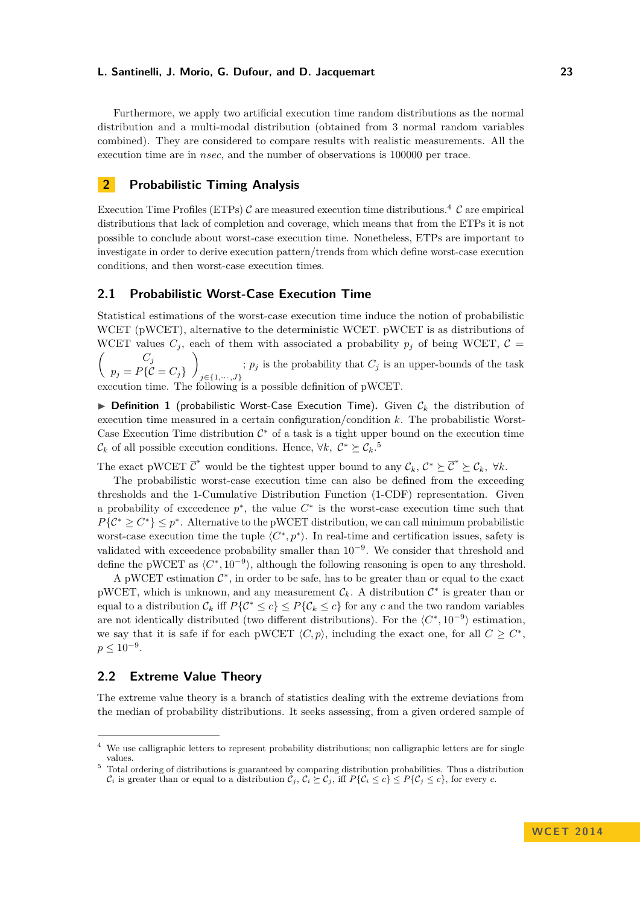Furthermore, we apply two artificial execution time random distributions as the normal distribution and a multi-modal distribution (obtained from 3 normal random variables combined). They are considered to compare results with realistic measurements. All the execution time are in *nsec*, and the number of observations is 100000 per trace.

## **2 Probabilistic Timing Analysis**

Execution Time Profiles (ETPs)  $\mathcal C$  are measured execution time distributions.<sup>[4](#page-2-0)</sup>  $\mathcal C$  are empirical distributions that lack of completion and coverage, which means that from the ETPs it is not possible to conclude about worst-case execution time. Nonetheless, ETPs are important to investigate in order to derive execution pattern/trends from which define worst-case execution conditions, and then worst-case execution times.

## **2.1 Probabilistic Worst-Case Execution Time**

Statistical estimations of the worst-case execution time induce the notion of probabilistic WCET (pWCET), alternative to the deterministic WCET. pWCET is as distributions of WCET values  $C_j$ , each of them with associated a probability  $p_j$  of being WCET,  $C =$ 

 $\int$  *C<sub>j</sub>*  $p_j = P\{\mathcal{C} = C_j\}$  $\setminus$ *j*∈{1*,*··· *,J*} ;  $p_j$  is the probability that  $C_j$  is an upper-bounds of the task execution time. The following is a possible definition of pWCET.

 $\triangleright$  **Definition 1** (probabilistic Worst-Case Execution Time). Given  $\mathcal{C}_k$  the distribution of execution time measured in a certain configuration/condition *k*. The probabilistic Worst-Case Execution Time distribution  $\mathcal{C}^*$  of a task is a tight upper bound on the execution time  $\mathcal{C}_k$  of all possible execution conditions. Hence, ∀*k*,  $\mathcal{C}^* \succeq \mathcal{C}_k$ .<sup>[5](#page-2-1)</sup>

The exact pWCET  $\overline{C}^*$  would be the tightest upper bound to any  $\mathcal{C}_k$ ,  $\mathcal{C}^* \succeq \overline{C}^* \succeq \mathcal{C}_k$ ,  $\forall k$ .

The probabilistic worst-case execution time can also be defined from the exceeding thresholds and the 1-Cumulative Distribution Function (1-CDF) representation. Given a probability of exceedence  $p^*$ , the value  $C^*$  is the worst-case execution time such that  $P\{\mathcal{C}^* \geq C^*\} \leq p^*$ . Alternative to the pWCET distribution, we can call minimum probabilistic worst-case execution time the tuple  $\langle C^*, p^* \rangle$ . In real-time and certification issues, safety is validated with exceedence probability smaller than  $10^{-9}$ . We consider that threshold and define the pWCET as  $\langle C^*, 10^{-9} \rangle$ , although the following reasoning is open to any threshold.

A pWCET estimation  $\mathcal{C}^*$ , in order to be safe, has to be greater than or equal to the exact pWCET, which is unknown, and any measurement  $\mathcal{C}_k$ . A distribution  $\mathcal{C}^*$  is greater than or equal to a distribution  $\mathcal{C}_k$  iff  $P\{\mathcal{C}^* \leq c\} \leq P\{\mathcal{C}_k \leq c\}$  for any *c* and the two random variables are not identically distributed (two different distributions). For the  $\langle C^*, 10^{-9} \rangle$  estimation, we say that it is safe if for each pWCET  $\langle C, p \rangle$ , including the exact one, for all  $C \geq C^*$ ,  $p \leq 10^{-9}$ .

## **2.2 Extreme Value Theory**

The extreme value theory is a branch of statistics dealing with the extreme deviations from the median of probability distributions. It seeks assessing, from a given ordered sample of

<span id="page-2-0"></span><sup>&</sup>lt;sup>4</sup> We use calligraphic letters to represent probability distributions; non calligraphic letters are for single values.

<span id="page-2-1"></span><sup>5</sup> Total ordering of distributions is guaranteed by comparing distribution probabilities. Thus a distribution  $\mathcal{C}_i$  is greater than or equal to a distribution  $\mathcal{C}_j$ ,  $\mathcal{C}_i \succeq \mathcal{C}_j$ , iff  $P\{\mathcal{C}_i \leq c\} \leq P\{\mathcal{C}_j \leq c\}$ , for every  $c$ .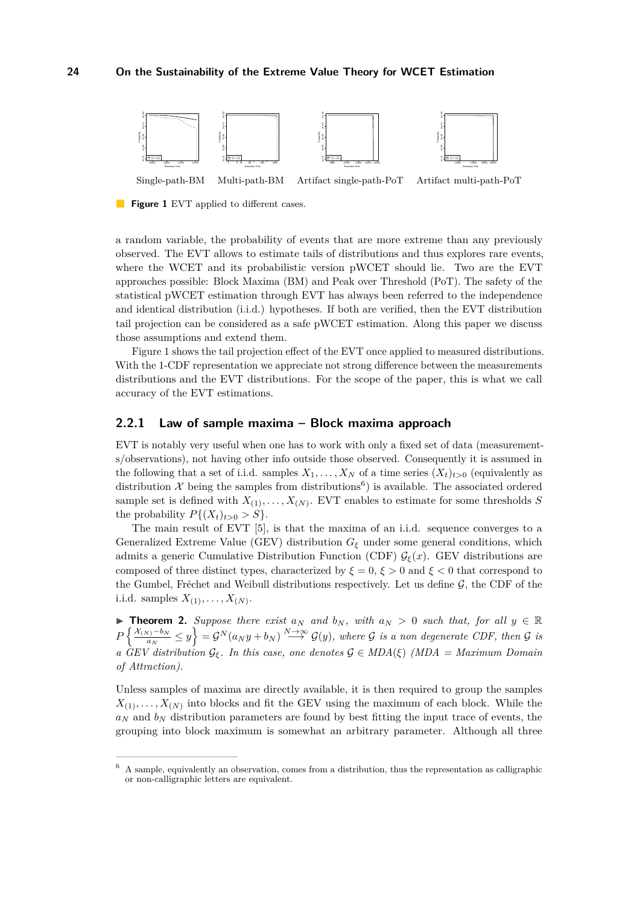<span id="page-3-0"></span>

**Figure 1** EVT applied to different cases.

a random variable, the probability of events that are more extreme than any previously observed. The EVT allows to estimate tails of distributions and thus explores rare events, where the WCET and its probabilistic version pWCET should lie. Two are the EVT approaches possible: Block Maxima (BM) and Peak over Threshold (PoT). The safety of the statistical pWCET estimation through EVT has always been referred to the independence and identical distribution (i.i.d.) hypotheses. If both are verified, then the EVT distribution tail projection can be considered as a safe pWCET estimation. Along this paper we discuss those assumptions and extend them.

Figure [1](#page-3-0) shows the tail projection effect of the EVT once applied to measured distributions. With the 1-CDF representation we appreciate not strong difference between the measurements distributions and the EVT distributions. For the scope of the paper, this is what we call accuracy of the EVT estimations.

## **2.2.1 Law of sample maxima – Block maxima approach**

EVT is notably very useful when one has to work with only a fixed set of data (measurements/observations), not having other info outside those observed. Consequently it is assumed in the following that a set of i.i.d. samples  $X_1, \ldots, X_N$  of a time series  $(X_t)_{t>0}$  (equivalently as distribution X being the samples from distributions<sup>[6](#page-3-1)</sup>) is available. The associated ordered sample set is defined with  $X_{(1)}, \ldots, X_{(N)}$ . EVT enables to estimate for some thresholds *S* the probability  $P\{(X_t)_{t>0} > S\}.$ 

The main result of EVT [\[5\]](#page-9-7), is that the maxima of an i.i.d. sequence converges to a Generalized Extreme Value (GEV) distribution  $G_{\xi}$  under some general conditions, which admits a generic Cumulative Distribution Function (CDF)  $\mathcal{G}_{\xi}(x)$ . GEV distributions are composed of three distinct types, characterized by  $\xi = 0$ ,  $\xi > 0$  and  $\xi < 0$  that correspond to the Gumbel, Fréchet and Weibull distributions respectively. Let us define  $G$ , the CDF of the i.i.d. samples  $X_{(1)}, \ldots, X_{(N)}$ .

**Theorem 2.** Suppose there exist  $a_N$  and  $b_N$ , with  $a_N > 0$  such that, for all  $y \in \mathbb{R}$  $P\left\{\frac{\mathcal{X}_{(N)}-b_N}{a_N}\right\}$  $\left\{\frac{y_1-b_N}{a_N} \leq y\right\} = \mathcal{G}^N(a_Ny+b_N) \stackrel{N\to\infty}{\longrightarrow} \mathcal{G}(y)$ , where  $\mathcal G$  *is a non degenerate CDF, then*  $\mathcal G$  *is a*  $\hat{G}EV$  distribution  $\mathcal{G}_{\xi}$ . In this case, one denotes  $\mathcal{G} \in MDA(\xi)$  (MDA = Maximum Domain *of Attraction).*

Unless samples of maxima are directly available, it is then required to group the samples  $X_{(1)}, \ldots, X_{(N)}$  into blocks and fit the GEV using the maximum of each block. While the  $a_N$  and  $b_N$  distribution parameters are found by best fitting the input trace of events, the grouping into block maximum is somewhat an arbitrary parameter. Although all three

<span id="page-3-1"></span><sup>6</sup> A sample, equivalently an observation, comes from a distribution, thus the representation as calligraphic or non-calligraphic letters are equivalent.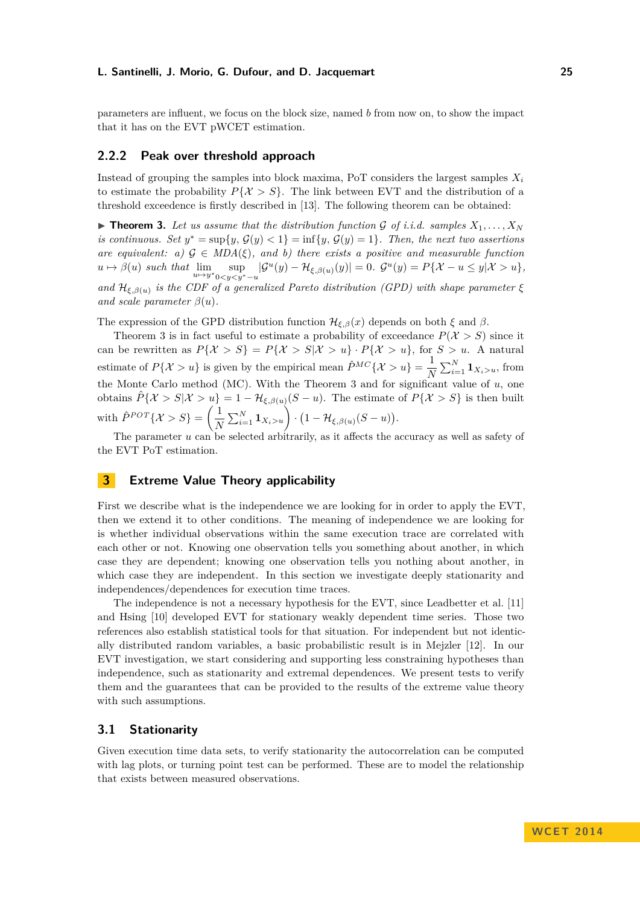parameters are influent, we focus on the block size, named *b* from now on, to show the impact that it has on the EVT pWCET estimation.

## **2.2.2 Peak over threshold approach**

Instead of grouping the samples into block maxima, PoT considers the largest samples *X<sup>i</sup>* to estimate the probability  $P\{X > S\}$ . The link between EVT and the distribution of a threshold exceedence is firstly described in [\[13\]](#page-9-8). The following theorem can be obtained:

<span id="page-4-0"></span> $\triangleright$  **Theorem 3.** Let us assume that the distribution function G of i.i.d. samples  $X_1, \ldots, X_N$ *is continuous. Set*  $y^* = \sup\{y, \mathcal{G}(y) < 1\} = \inf\{y, \mathcal{G}(y) = 1\}$ . Then, the next two assertions *are equivalent: a)*  $G \in MDA(\xi)$ *, and b) there exists a positive and measurable function*  $u \mapsto \beta(u)$  such that  $\lim_{u \to y^*} \sup_{0 < y < y^* - u} |\mathcal{G}^u(y) - \mathcal{H}_{\xi,\beta(u)}(y)| = 0$ .  $\mathcal{G}^u(y) = P\{\mathcal{X} - u \leq y | \mathcal{X} > u\},$ *and*  $\mathcal{H}_{\xi,\beta(u)}$  *is the CDF of a generalized Pareto distribution (GPD) with shape parameter*  $\xi$ *and scale parameter*  $\beta(u)$ *.* 

The expression of the GPD distribution function  $\mathcal{H}_{\xi,\beta}(x)$  depends on both  $\xi$  and  $\beta$ .

Theorem [3](#page-4-0) is in fact useful to estimate a probability of exceedance  $P(X > S)$  since it can be rewritten as  $P\{\mathcal{X} > S\} = P\{\mathcal{X} > S | \mathcal{X} > u\} \cdot P\{\mathcal{X} > u\}$ , for  $S > u$ . A natural estimate of  $P\{\mathcal{X} > u\}$  is given by the empirical mean  $\hat{P}^{MC}\{\mathcal{X} > u\} = \frac{1}{2}$  $\frac{1}{N} \sum_{i=1}^{N} \mathbf{1}_{X_i > u}$ , from the Monte Carlo method (MC). With the Theorem [3](#page-4-0) and for significant value of *u*, one obtains  $\hat{P}\{\mathcal{X} > S | \mathcal{X} > u\} = 1 - \mathcal{H}_{\xi, \beta(u)}(S - u)$ . The estimate of  $P\{\mathcal{X} > S\}$  is then built with  $\hat{P}^{POT}\{\mathcal{X} > S\} = \left(\frac{1}{N}\right)$  $\frac{1}{N} \sum_{i=1}^{N} \mathbf{1}_{X_i > u} \bigg) \cdot (1 - \mathcal{H}_{\xi, \beta(u)}(S - u)).$ 

The parameter *u* can be selected arbitrarily, as it affects the accuracy as well as safety of the EVT PoT estimation.

# **3 Extreme Value Theory applicability**

First we describe what is the independence we are looking for in order to apply the EVT, then we extend it to other conditions. The meaning of independence we are looking for is whether individual observations within the same execution trace are correlated with each other or not. Knowing one observation tells you something about another, in which case they are dependent; knowing one observation tells you nothing about another, in which case they are independent. In this section we investigate deeply stationarity and independences/dependences for execution time traces.

The independence is not a necessary hypothesis for the EVT, since Leadbetter et al. [\[11\]](#page-9-9) and Hsing [\[10\]](#page-9-10) developed EVT for stationary weakly dependent time series. Those two references also establish statistical tools for that situation. For independent but not identically distributed random variables, a basic probabilistic result is in Mejzler [\[12\]](#page-9-11). In our EVT investigation, we start considering and supporting less constraining hypotheses than independence, such as stationarity and extremal dependences. We present tests to verify them and the guarantees that can be provided to the results of the extreme value theory with such assumptions.

## **3.1 Stationarity**

Given execution time data sets, to verify stationarity the autocorrelation can be computed with lag plots, or turning point test can be performed. These are to model the relationship that exists between measured observations.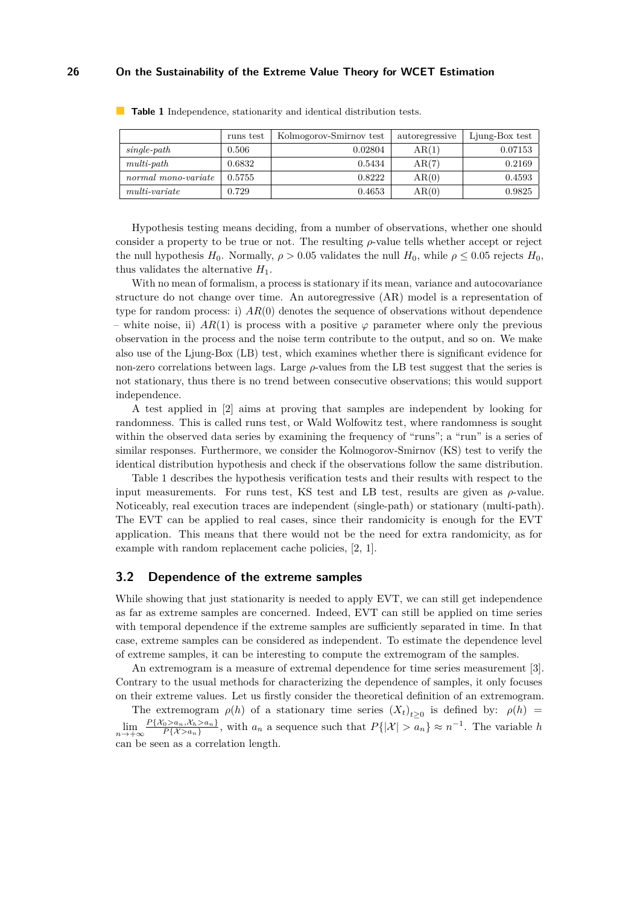## **26 On the Sustainability of the Extreme Value Theory for WCET Estimation**

|                     | runs test | Kolmogorov-Smirnov test | autoregressive | Ljung-Box test |
|---------------------|-----------|-------------------------|----------------|----------------|
| $single-path$       | 0.506     | 0.02804                 | AR(1)          | 0.07153        |
| $multi-path$        | 0.6832    | 0.5434                  | AR(7)          | 0.2169         |
| normal mono-variate | 0.5755    | 0.8222                  | AR(0)          | 0.4593         |
| $multi-variate$     | 0.729     | 0.4653                  | AR(0)          | 0.9825         |

<span id="page-5-0"></span>**Table 1** Independence, stationarity and identical distribution tests.

Hypothesis testing means deciding, from a number of observations, whether one should consider a property to be true or not. The resulting *ρ*-value tells whether accept or reject the null hypothesis *H*<sub>0</sub>. Normally,  $ρ > 0.05$  validates the null *H*<sub>0</sub>, while  $ρ \leq 0.05$  rejects *H*<sub>0</sub>, thus validates the alternative  $H_1$ .

With no mean of formalism, a process is stationary if its mean, variance and autocovariance structure do not change over time. An autoregressive (AR) model is a representation of type for random process: i) *AR*(0) denotes the sequence of observations without dependence white noise, ii)  $AR(1)$  is process with a positive  $\varphi$  parameter where only the previous observation in the process and the noise term contribute to the output, and so on. We make also use of the Ljung-Box (LB) test, which examines whether there is significant evidence for non-zero correlations between lags. Large *ρ*-values from the LB test suggest that the series is not stationary, thus there is no trend between consecutive observations; this would support independence.

A test applied in [\[2\]](#page-9-2) aims at proving that samples are independent by looking for randomness. This is called runs test, or Wald Wolfowitz test, where randomness is sought within the observed data series by examining the frequency of "runs"; a "run" is a series of similar responses. Furthermore, we consider the Kolmogorov-Smirnov (KS) test to verify the identical distribution hypothesis and check if the observations follow the same distribution.

Table [1](#page-5-0) describes the hypothesis verification tests and their results with respect to the input measurements. For runs test, KS test and LB test, results are given as *ρ*-value. Noticeably, real execution traces are independent (single-path) or stationary (multi-path). The EVT can be applied to real cases, since their randomicity is enough for the EVT application. This means that there would not be the need for extra randomicity, as for example with random replacement cache policies, [\[2,](#page-9-2) [1\]](#page-9-6).

## **3.2 Dependence of the extreme samples**

While showing that just stationarity is needed to apply EVT, we can still get independence as far as extreme samples are concerned. Indeed, EVT can still be applied on time series with temporal dependence if the extreme samples are sufficiently separated in time. In that case, extreme samples can be considered as independent. To estimate the dependence level of extreme samples, it can be interesting to compute the extremogram of the samples.

An extremogram is a measure of extremal dependence for time series measurement [\[3\]](#page-9-12). Contrary to the usual methods for characterizing the dependence of samples, it only focuses on their extreme values. Let us firstly consider the theoretical definition of an extremogram.

The extremogram  $\rho(h)$  of a stationary time series  $(X_t)_{t\geq 0}$  is defined by:  $\rho(h)$  =  $\lim_{n\to+\infty}\frac{P\{\mathcal{X}_0>a_n,\mathcal{X}_h>a_n\}}{P\{\mathcal{X}>a_n\}}$  $P\{X>a_n, X_h>a_n\}$ , with  $a_n$  a sequence such that  $P\{|\mathcal{X}| > a_n\} \approx n^{-1}$ . The variable *h* can be seen as a correlation length.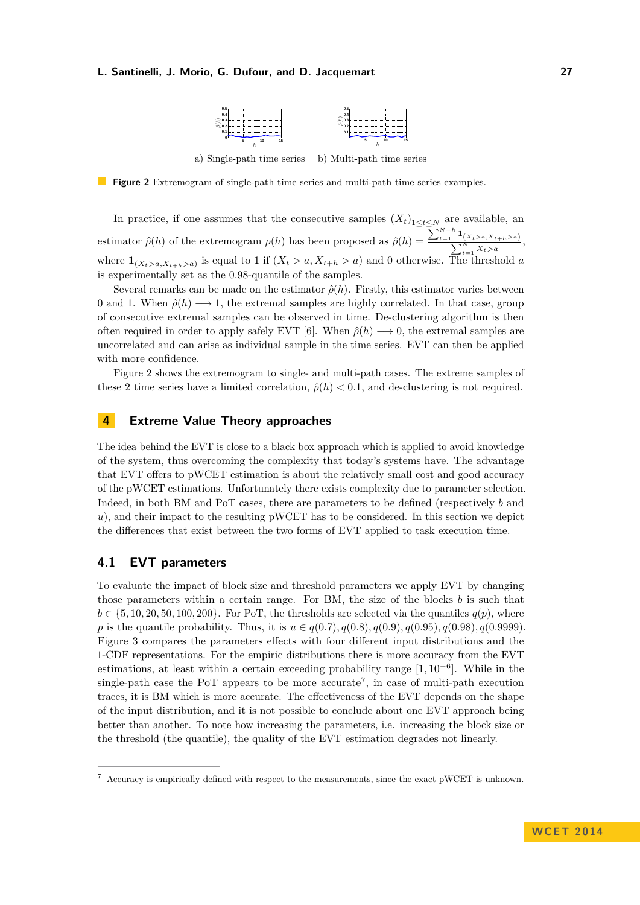

a) Single-path time series b) Multi-path time series

<span id="page-6-0"></span>**Figure 2** Extremogram of single-path time series and multi-path time series examples.

In practice, if one assumes that the consecutive samples  $(X_t)_{1 \le t \le N}$  are available, an estimator  $\hat{\rho}(h)$  of the extremogram  $\rho(h)$  has been proposed as  $\hat{\rho}(h) = \frac{\sum_{t=1}^{N-h} 1}{\sum_{t=1}^{N}}$  $\sum$  $\frac{X_{t}^{(X_{t}>a, X_{t+h}>a)}}{X_{t}>a},$ where  $\mathbf{1}_{(X_t > a, X_{t+h} > a)}$  is equal to 1 if  $(X_t > a, X_{t+h} > a)$  and 0 otherwise. The threshold *a* is experimentally set as the 0*.*98-quantile of the samples.

Several remarks can be made on the estimator  $\hat{\rho}(h)$ . Firstly, this estimator varies between 0 and 1. When  $\hat{\rho}(h) \longrightarrow 1$ , the extremal samples are highly correlated. In that case, group of consecutive extremal samples can be observed in time. De-clustering algorithm is then often required in order to apply safely EVT [\[6\]](#page-9-13). When  $\hat{\rho}(h) \longrightarrow 0$ , the extremal samples are uncorrelated and can arise as individual sample in the time series. EVT can then be applied with more confidence.

Figure [2](#page-6-0) shows the extremogram to single- and multi-path cases. The extreme samples of these 2 time series have a limited correlation,  $\hat{\rho}(h) < 0.1$ , and de-clustering is not required.

# **4 Extreme Value Theory approaches**

The idea behind the EVT is close to a black box approach which is applied to avoid knowledge of the system, thus overcoming the complexity that today's systems have. The advantage that EVT offers to pWCET estimation is about the relatively small cost and good accuracy of the pWCET estimations. Unfortunately there exists complexity due to parameter selection. Indeed, in both BM and PoT cases, there are parameters to be defined (respectively *b* and *u*), and their impact to the resulting pWCET has to be considered. In this section we depict the differences that exist between the two forms of EVT applied to task execution time.

## **4.1 EVT parameters**

To evaluate the impact of block size and threshold parameters we apply EVT by changing those parameters within a certain range. For BM, the size of the blocks *b* is such that  $b \in \{5, 10, 20, 50, 100, 200\}$ . For PoT, the thresholds are selected via the quantiles  $q(p)$ , where *p* is the quantile probability. Thus, it is  $u \in q(0.7)$ ,  $q(0.8)$ ,  $q(0.9)$ ,  $q(0.95)$ ,  $q(0.9999)$ . Figure [3](#page-7-0) compares the parameters effects with four different input distributions and the 1-CDF representations. For the empiric distributions there is more accuracy from the EVT estimations, at least within a certain exceeding probability range [1*,* 10<sup>−</sup><sup>6</sup> ]. While in the single-path case the PoT appears to be more accurate<sup>[7](#page-6-1)</sup>, in case of multi-path execution traces, it is BM which is more accurate. The effectiveness of the EVT depends on the shape of the input distribution, and it is not possible to conclude about one EVT approach being better than another. To note how increasing the parameters, i.e. increasing the block size or the threshold (the quantile), the quality of the EVT estimation degrades not linearly.

<span id="page-6-1"></span> $7$  Accuracy is empirically defined with respect to the measurements, since the exact pWCET is unknown.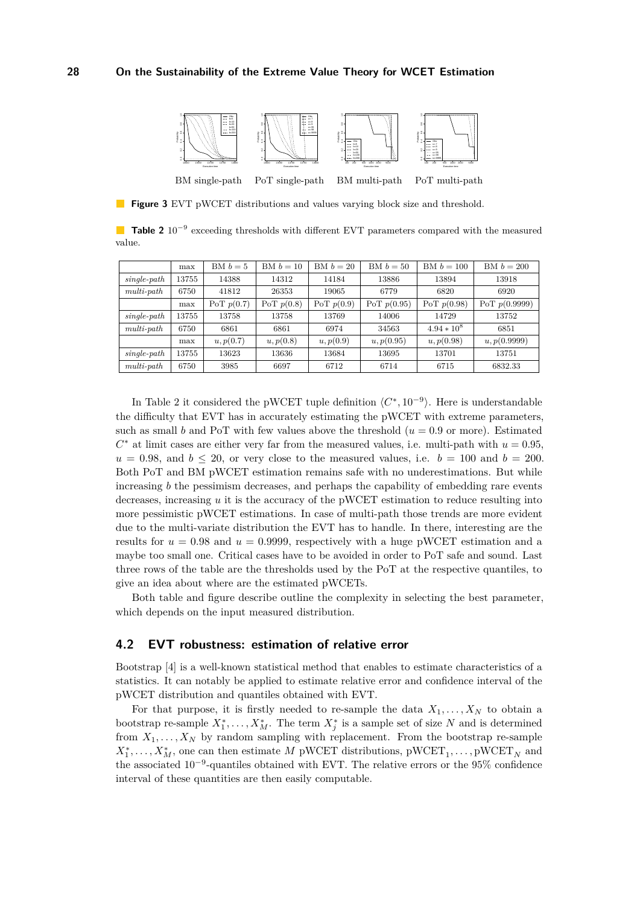<span id="page-7-0"></span>

**Figure 3** EVT pWCET distributions and values varying block size and threshold.

<span id="page-7-1"></span>Table 2 10<sup>-9</sup> exceeding thresholds with different EVT parameters compared with the measured value.

|               | max   | BM $b=5$     | BM $b=10$    | BM $b=20$    | BM $b=50$     | $BM b = 100$  | BM $b = 200$    |
|---------------|-------|--------------|--------------|--------------|---------------|---------------|-----------------|
| $single-path$ | 13755 | 14388        | 14312        | 14184        | 13886         | 13894         | 13918           |
| $multi-path$  | 6750  | 41812        | 26353        | 19065        | 6779          | 6820          | 6920            |
|               | max   | PoT $p(0.7)$ | PoT $p(0.8)$ | PoT $p(0.9)$ | PoT $p(0.95)$ | PoT $p(0.98)$ | PoT $p(0.9999)$ |
| $single-path$ | 13755 | 13758        | 13758        | 13769        | 14006         | 14729         | 13752           |
| $multi-path$  | 6750  | 6861         | 6861         | 6974         | 34563         | $4.94 * 10^8$ | 6851            |
|               | max   | u, p(0.7)    | u, p(0.8)    | u, p(0.9)    | u, p(0.95)    | u, p(0.98)    | u, p(0.9999)    |
| $single-path$ | 13755 | 13623        | 13636        | 13684        | 13695         | 13701         | 13751           |
| $multi-path$  | 6750  | 3985         | 6697         | 6712         | 6714          | 6715          | 6832.33         |

In Table [2](#page-7-1) it considered the pWCET tuple definition  $\langle C^*, 10^{-9} \rangle$ . Here is understandable the difficulty that EVT has in accurately estimating the pWCET with extreme parameters, such as small *b* and PoT with few values above the threshold ( $u = 0.9$  or more). Estimated  $C^*$  at limit cases are either very far from the measured values, i.e. multi-path with  $u = 0.95$ ,  $u = 0.98$ , and  $b \le 20$ , or very close to the measured values, i.e.  $b = 100$  and  $b = 200$ . Both PoT and BM pWCET estimation remains safe with no underestimations. But while increasing *b* the pessimism decreases, and perhaps the capability of embedding rare events decreases, increasing *u* it is the accuracy of the pWCET estimation to reduce resulting into more pessimistic pWCET estimations. In case of multi-path those trends are more evident due to the multi-variate distribution the EVT has to handle. In there, interesting are the results for  $u = 0.98$  and  $u = 0.9999$ , respectively with a huge pWCET estimation and a maybe too small one. Critical cases have to be avoided in order to PoT safe and sound. Last three rows of the table are the thresholds used by the PoT at the respective quantiles, to give an idea about where are the estimated pWCETs.

Both table and figure describe outline the complexity in selecting the best parameter, which depends on the input measured distribution.

## **4.2 EVT robustness: estimation of relative error**

Bootstrap [\[4\]](#page-9-14) is a well-known statistical method that enables to estimate characteristics of a statistics. It can notably be applied to estimate relative error and confidence interval of the pWCET distribution and quantiles obtained with EVT.

For that purpose, it is firstly needed to re-sample the data  $X_1, \ldots, X_N$  to obtain a bootstrap re-sample  $X_1^*, \ldots, X_M^*$ . The term  $X_j^*$  is a sample set of size N and is determined from  $X_1, \ldots, X_N$  by random sampling with replacement. From the bootstrap re-sample  $X_1^*, \ldots, X_M^*$ , one can then estimate *M* pWCET distributions,  $\text{pWCEPT}_1, \ldots, \text{pWCEPT}_N$  and the associated 10−<sup>9</sup> -quantiles obtained with EVT. The relative errors or the 95% confidence interval of these quantities are then easily computable.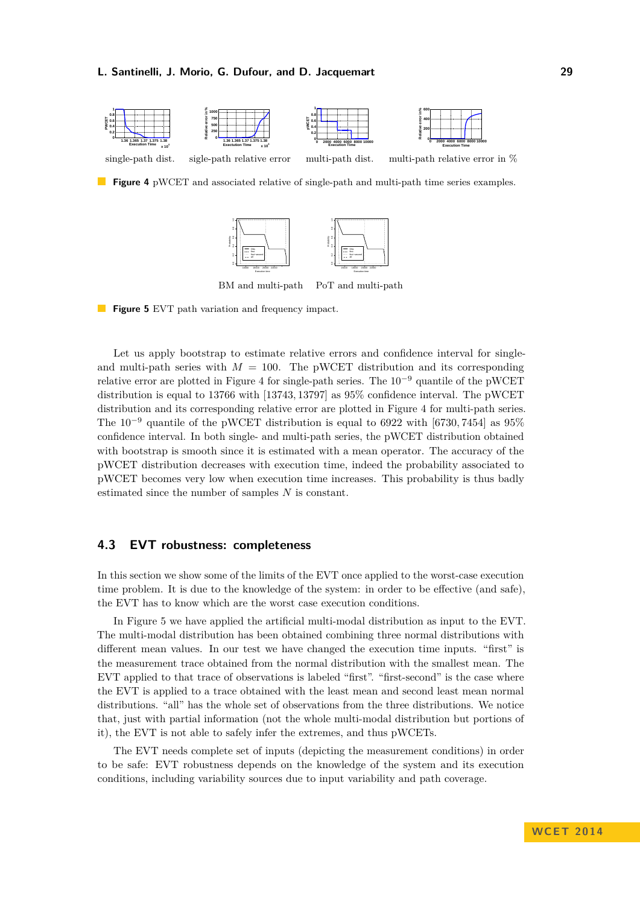<span id="page-8-0"></span>



BM and multi-path PoT and multi-path

<span id="page-8-1"></span>**Figure 5** EVT path variation and frequency impact.

Let us apply bootstrap to estimate relative errors and confidence interval for singleand multi-path series with  $M = 100$ . The pWCET distribution and its corresponding relative error are plotted in Figure [4](#page-8-0) for single-path series. The  $10^{-9}$  quantile of the pWCET distribution is equal to 13766 with [13743*,* 13797] as 95% confidence interval. The pWCET distribution and its corresponding relative error are plotted in Figure [4](#page-8-0) for multi-path series. The 10<sup>−</sup><sup>9</sup> quantile of the pWCET distribution is equal to 6922 with [6730*,* 7454] as 95% confidence interval. In both single- and multi-path series, the pWCET distribution obtained with bootstrap is smooth since it is estimated with a mean operator. The accuracy of the pWCET distribution decreases with execution time, indeed the probability associated to pWCET becomes very low when execution time increases. This probability is thus badly estimated since the number of samples *N* is constant.

## **4.3 EVT robustness: completeness**

In this section we show some of the limits of the EVT once applied to the worst-case execution time problem. It is due to the knowledge of the system: in order to be effective (and safe), the EVT has to know which are the worst case execution conditions.

In Figure [5](#page-8-1) we have applied the artificial multi-modal distribution as input to the EVT. The multi-modal distribution has been obtained combining three normal distributions with different mean values. In our test we have changed the execution time inputs. "first" is the measurement trace obtained from the normal distribution with the smallest mean. The EVT applied to that trace of observations is labeled "first". "first-second" is the case where the EVT is applied to a trace obtained with the least mean and second least mean normal distributions. "all" has the whole set of observations from the three distributions. We notice that, just with partial information (not the whole multi-modal distribution but portions of it), the EVT is not able to safely infer the extremes, and thus pWCETs.

The EVT needs complete set of inputs (depicting the measurement conditions) in order to be safe: EVT robustness depends on the knowledge of the system and its execution conditions, including variability sources due to input variability and path coverage.